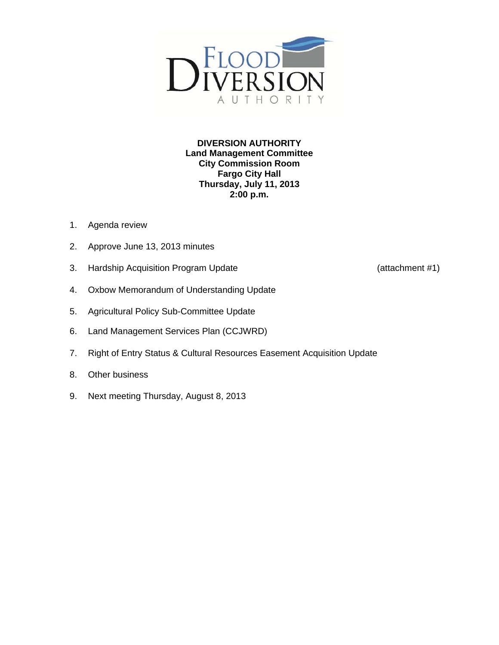

**DIVERSION AUTHORITY Land Management Committee City Commission Room Fargo City Hall Thursday, July 11, 2013 2:00 p.m.** 

- 1. Agenda review
- 2. Approve June 13, 2013 minutes
- 3. Hardship Acquisition Program Update (attachment #1)
- 4. Oxbow Memorandum of Understanding Update
- 5. Agricultural Policy Sub-Committee Update
- 6. Land Management Services Plan (CCJWRD)
- 7. Right of Entry Status & Cultural Resources Easement Acquisition Update
- 8. Other business
- 9. Next meeting Thursday, August 8, 2013